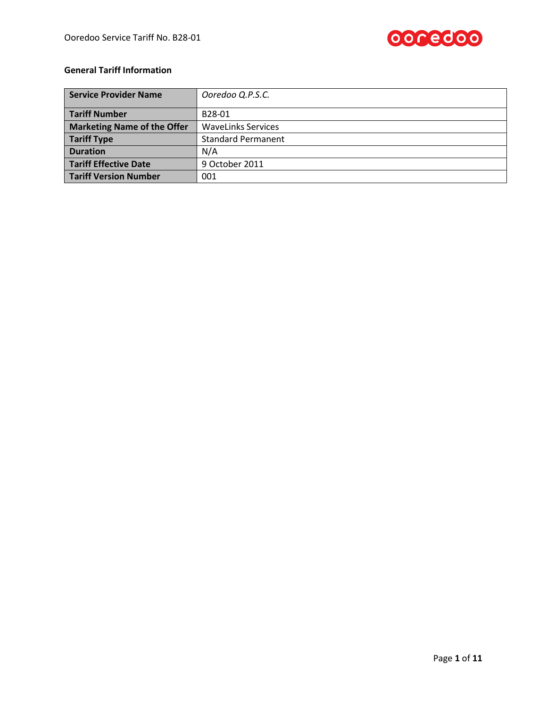

## **General Tariff Information**

| <b>Service Provider Name</b>       | Ooredoo Q.P.S.C.          |  |
|------------------------------------|---------------------------|--|
| <b>Tariff Number</b>               | B28-01                    |  |
| <b>Marketing Name of the Offer</b> | <b>WaveLinks Services</b> |  |
| <b>Tariff Type</b>                 | <b>Standard Permanent</b> |  |
| <b>Duration</b>                    | N/A                       |  |
| <b>Tariff Effective Date</b>       | 9 October 2011            |  |
| <b>Tariff Version Number</b>       | 001                       |  |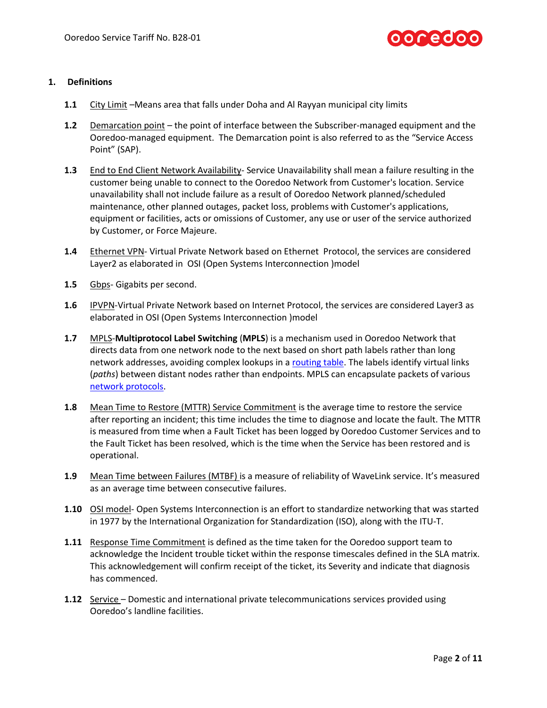

## **1. Definitions**

- **1.1** City Limit –Means area that falls under Doha and Al Rayyan municipal city limits
- **1.2** Demarcation point the point of interface between the Subscriber-managed equipment and the Ooredoo-managed equipment. The Demarcation point is also referred to as the "Service Access Point" (SAP).
- **1.3** End to End Client Network Availability- Service Unavailability shall mean a failure resulting in the customer being unable to connect to the Ooredoo Network from Customer's location. Service unavailability shall not include failure as a result of Ooredoo Network planned/scheduled maintenance, other planned outages, packet loss, problems with Customer's applications, equipment or facilities, acts or omissions of Customer, any use or user of the service authorized by Customer, or Force Majeure.
- **1.4** Ethernet VPN- Virtual Private Network based on Ethernet Protocol, the services are considered Layer2 as elaborated in OSI (Open Systems Interconnection )model
- **1.5** Gbps- Gigabits per second.
- **1.6** IPVPN-Virtual Private Network based on Internet Protocol, the services are considered Layer3 as elaborated in OSI (Open Systems Interconnection )model
- **1.7** MPLS-**Multiprotocol Label Switching** (**MPLS**) is a mechanism used in Ooredoo Network that directs data from one network node to the next based on short path labels rather than long network addresses, avoiding complex lookups in a [routing table.](http://en.wikipedia.org/wiki/Routing_table) The labels identify virtual links (*paths*) between distant nodes rather than endpoints. MPLS can encapsulate packets of various [network protocols.](http://en.wikipedia.org/wiki/Network_protocol)
- **1.8** Mean Time to Restore (MTTR) Service Commitment is the average time to restore the service after reporting an incident; this time includes the time to diagnose and locate the fault. The MTTR is measured from time when a Fault Ticket has been logged by Ooredoo Customer Services and to the Fault Ticket has been resolved, which is the time when the Service has been restored and is operational.
- **1.9** Mean Time between Failures (MTBF) is a measure of reliability of WaveLink service. It's measured as an average time between consecutive failures.
- **1.10** OSI model- Open Systems Interconnection is an effort to standardize [networking](http://en.wikipedia.org/wiki/Computer_network) that was started in 1977 by the [International Organization for Standardization](http://en.wikipedia.org/wiki/International_Organization_for_Standardization) (ISO), along with th[e ITU-T.](http://en.wikipedia.org/wiki/ITU-T)
- **1.11** Response Time Commitment is defined as the time taken for the Ooredoo support team to acknowledge the Incident trouble ticket within the response timescales defined in the SLA matrix. This acknowledgement will confirm receipt of the ticket, its Severity and indicate that diagnosis has commenced.
- **1.12** Service Domestic and international private telecommunications services provided using Ooredoo's landline facilities.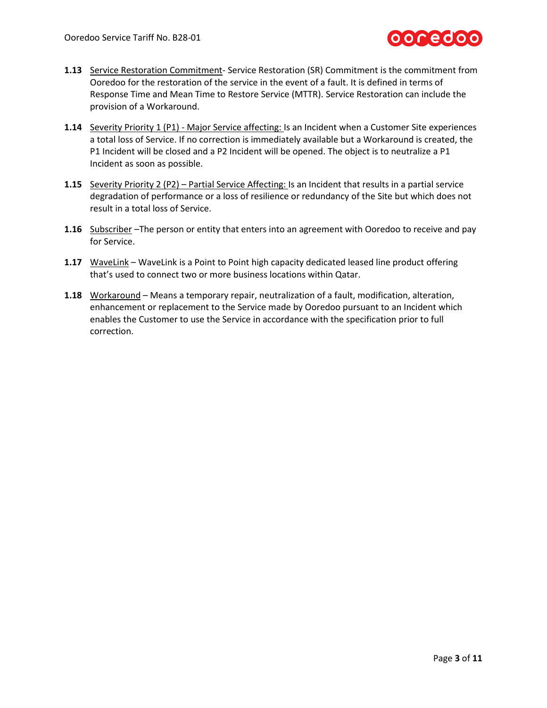

- **1.13** Service Restoration Commitment- Service Restoration (SR) Commitment is the commitment from Ooredoo for the restoration of the service in the event of a fault. It is defined in terms of Response Time and Mean Time to Restore Service (MTTR). Service Restoration can include the provision of a Workaround.
- **1.14** Severity Priority 1 (P1) Major Service affecting: Is an Incident when a Customer Site experiences a total loss of Service. If no correction is immediately available but a Workaround is created, the P1 Incident will be closed and a P2 Incident will be opened. The object is to neutralize a P1 Incident as soon as possible.
- **1.15** Severity Priority 2 (P2) Partial Service Affecting: Is an Incident that results in a partial service degradation of performance or a loss of resilience or redundancy of the Site but which does not result in a total loss of Service.
- **1.16** Subscriber –The person or entity that enters into an agreement with Ooredoo to receive and pay for Service.
- **1.17** WaveLink WaveLink is a Point to Point high capacity dedicated leased line product offering that's used to connect two or more business locations within Qatar.
- **1.18** Workaround Means a temporary repair, neutralization of a fault, modification, alteration, enhancement or replacement to the Service made by Ooredoo pursuant to an Incident which enables the Customer to use the Service in accordance with the specification prior to full correction.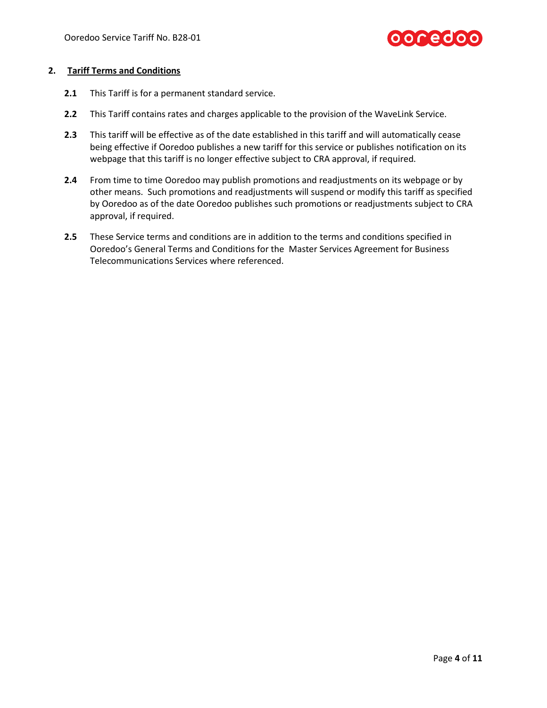

#### **2. Tariff Terms and Conditions**

- **2.1** This Tariff is for a permanent standard service.
- **2.2** This Tariff contains rates and charges applicable to the provision of the WaveLink Service.
- **2.3** This tariff will be effective as of the date established in this tariff and will automatically cease being effective if Ooredoo publishes a new tariff for this service or publishes notification on its webpage that this tariff is no longer effective subject to CRA approval, if required.
- **2.4** From time to time Ooredoo may publish promotions and readjustments on its webpage or by other means. Such promotions and readjustments will suspend or modify this tariff as specified by Ooredoo as of the date Ooredoo publishes such promotions or readjustments subject to CRA approval, if required.
- **2.5** These Service terms and conditions are in addition to the terms and conditions specified in Ooredoo's General Terms and Conditions for the Master Services Agreement for Business Telecommunications Services where referenced.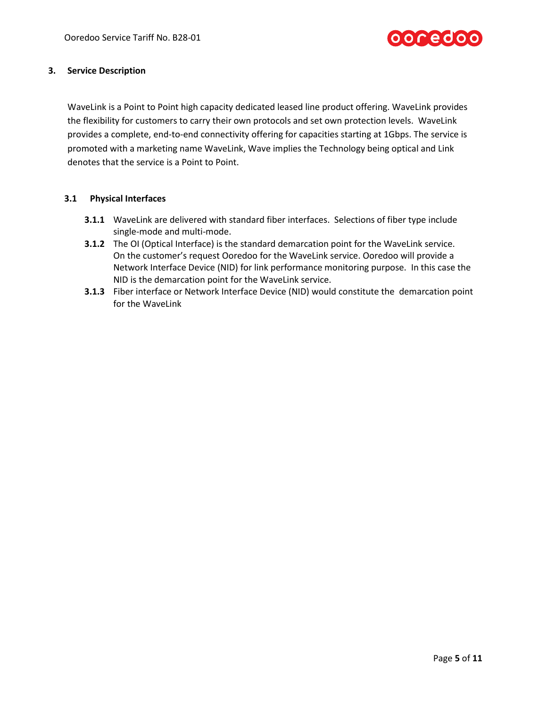

## **3. Service Description**

WaveLink is a Point to Point high capacity dedicated leased line product offering. WaveLink provides the flexibility for customers to carry their own protocols and set own protection levels. WaveLink provides a complete, end-to-end connectivity offering for capacities starting at 1Gbps. The service is promoted with a marketing name WaveLink, Wave implies the Technology being optical and Link denotes that the service is a Point to Point.

## **3.1 Physical Interfaces**

- **3.1.1** WaveLink are delivered with standard fiber interfaces. Selections of fiber type include single-mode and multi-mode.
- **3.1.2** The OI (Optical Interface) is the standard demarcation point for the WaveLink service. On the customer's request Ooredoo for the WaveLink service. Ooredoo will provide a Network Interface Device (NID) for link performance monitoring purpose. In this case the NID is the demarcation point for the WaveLink service.
- **3.1.3** Fiber interface or Network Interface Device (NID) would constitute the demarcation point for the WaveLink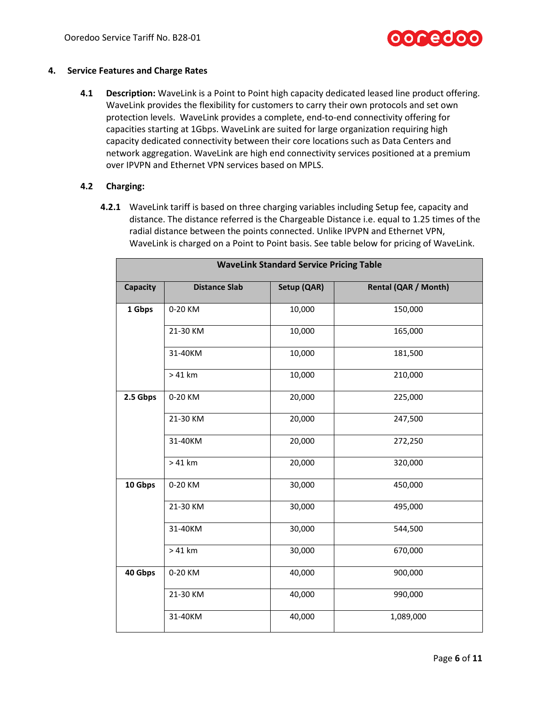

#### **4. Service Features and Charge Rates**

**4.1 Description:** WaveLink is a Point to Point high capacity dedicated leased line product offering. WaveLink provides the flexibility for customers to carry their own protocols and set own protection levels. WaveLink provides a complete, end-to-end connectivity offering for capacities starting at 1Gbps. WaveLink are suited for large organization requiring high capacity dedicated connectivity between their core locations such as Data Centers and network aggregation. WaveLink are high end connectivity services positioned at a premium over IPVPN and Ethernet VPN services based on MPLS.

## <span id="page-5-0"></span>**4.2 Charging:**

**4.2.1** WaveLink tariff is based on three charging variables including Setup fee, capacity and distance. The distance referred is the Chargeable Distance i.e. equal to 1.25 times of the radial distance between the points connected. Unlike IPVPN and Ethernet VPN, WaveLink is charged on a Point to Point basis. See table below for pricing of WaveLink.

| <b>WaveLink Standard Service Pricing Table</b> |                      |             |                      |
|------------------------------------------------|----------------------|-------------|----------------------|
| Capacity                                       | <b>Distance Slab</b> | Setup (QAR) | Rental (QAR / Month) |
| 1 Gbps                                         | 0-20 KM              | 10,000      | 150,000              |
|                                                | 21-30 KM             | 10,000      | 165,000              |
|                                                | 31-40KM              | 10,000      | 181,500              |
|                                                | $>41$ km             | 10,000      | 210,000              |
| 2.5 Gbps                                       | 0-20 KM              | 20,000      | 225,000              |
|                                                | 21-30 KM             | 20,000      | 247,500              |
|                                                | 31-40KM              | 20,000      | 272,250              |
|                                                | > 41 km              | 20,000      | 320,000              |
| 10 Gbps                                        | 0-20 KM              | 30,000      | 450,000              |
|                                                | 21-30 KM             | 30,000      | 495,000              |
|                                                | 31-40KM              | 30,000      | 544,500              |
|                                                | $>41$ km             | 30,000      | 670,000              |
| 40 Gbps                                        | 0-20 KM              | 40,000      | 900,000              |
|                                                | 21-30 KM             | 40,000      | 990,000              |
|                                                | 31-40KM              | 40,000      | 1,089,000            |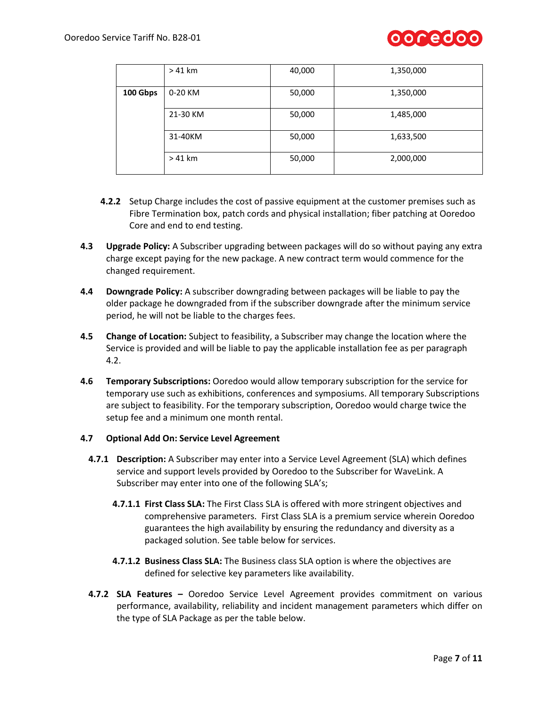

|          | $>41$ km | 40,000 | 1,350,000 |
|----------|----------|--------|-----------|
| 100 Gbps | 0-20 KM  | 50,000 | 1,350,000 |
|          | 21-30 KM | 50,000 | 1,485,000 |
|          | 31-40KM  | 50,000 | 1,633,500 |
|          | $>41$ km | 50,000 | 2,000,000 |

- **4.2.2** Setup Charge includes the cost of passive equipment at the customer premises such as Fibre Termination box, patch cords and physical installation; fiber patching at Ooredoo Core and end to end testing.
- **4.3 Upgrade Policy:** A Subscriber upgrading between packages will do so without paying any extra charge except paying for the new package. A new contract term would commence for the changed requirement.
- **4.4 Downgrade Policy:** A subscriber downgrading between packages will be liable to pay the older package he downgraded from if the subscriber downgrade after the minimum service period, he will not be liable to the charges fees.
- **4.5 Change of Location:** Subject to feasibility, a Subscriber may change the location where the Service is provided and will be liable to pay the applicable installation fee as per paragraph [4.2.](#page-5-0)
- **4.6 Temporary Subscriptions:** Ooredoo would allow temporary subscription for the service for temporary use such as exhibitions, conferences and symposiums. All temporary Subscriptions are subject to feasibility. For the temporary subscription, Ooredoo would charge twice the setup fee and a minimum one month rental.

#### **4.7 Optional Add On: Service Level Agreement**

- **4.7.1 Description:** A Subscriber may enter into a Service Level Agreement (SLA) which defines service and support levels provided by Ooredoo to the Subscriber for WaveLink. A Subscriber may enter into one of the following SLA's;
	- **4.7.1.1 First Class SLA:** The First Class SLA is offered with more stringent objectives and comprehensive parameters. First Class SLA is a premium service wherein Ooredoo guarantees the high availability by ensuring the redundancy and diversity as a packaged solution. See table below for services.
	- **4.7.1.2 Business Class SLA:** The Business class SLA option is where the objectives are defined for selective key parameters like availability.
- **4.7.2 SLA Features –** Ooredoo Service Level Agreement provides commitment on various performance, availability, reliability and incident management parameters which differ on the type of SLA Package as per the table below.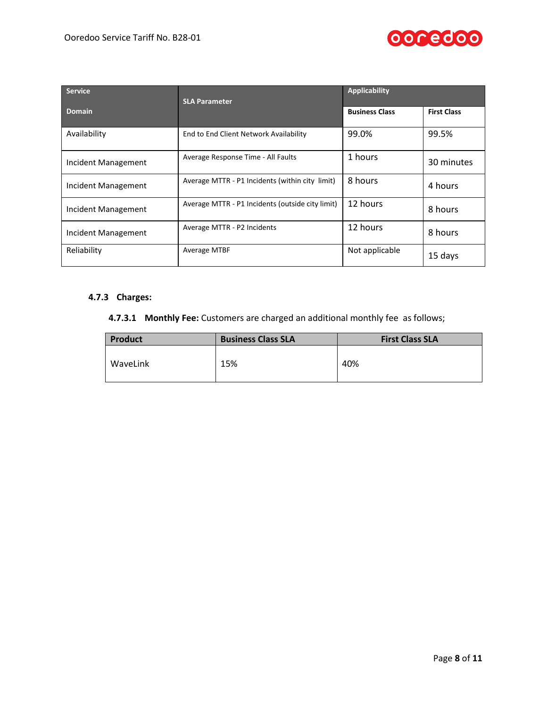

| <b>Service</b>      | <b>SLA Parameter</b>                             | Applicability         |                    |
|---------------------|--------------------------------------------------|-----------------------|--------------------|
| <b>Domain</b>       |                                                  | <b>Business Class</b> | <b>First Class</b> |
| Availability        | End to End Client Network Availability           | 99.0%                 | 99.5%              |
| Incident Management | Average Response Time - All Faults               | 1 hours               | 30 minutes         |
| Incident Management | Average MTTR - P1 Incidents (within city limit)  | 8 hours               | 4 hours            |
| Incident Management | Average MTTR - P1 Incidents (outside city limit) | 12 hours              | 8 hours            |
| Incident Management | Average MTTR - P2 Incidents                      | 12 hours              | 8 hours            |
| Reliability         | Average MTBF                                     | Not applicable        | 15 days            |

# **4.7.3 Charges:**

# **4.7.3.1 Monthly Fee:** Customers are charged an additional monthly fee as follows;

| <b>Product</b><br><b>Business Class SLA</b> |     | <b>First Class SLA</b> |  |
|---------------------------------------------|-----|------------------------|--|
| WaveLink                                    | 15% | 40%                    |  |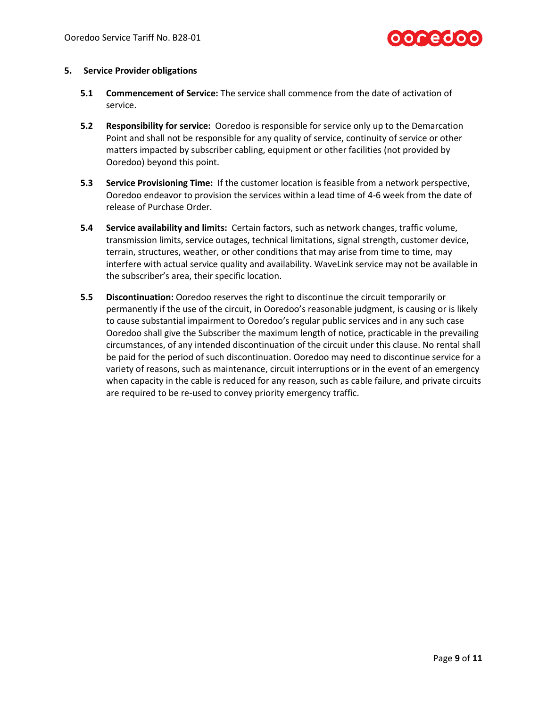

#### **5. Service Provider obligations**

- **5.1 Commencement of Service:** The service shall commence from the date of activation of service.
- **5.2 Responsibility for service:** Ooredoo is responsible for service only up to the Demarcation Point and shall not be responsible for any quality of service, continuity of service or other matters impacted by subscriber cabling, equipment or other facilities (not provided by Ooredoo) beyond this point.
- **5.3 Service Provisioning Time:** If the customer location is feasible from a network perspective, Ooredoo endeavor to provision the services within a lead time of 4-6 week from the date of release of Purchase Order.
- **5.4 Service availability and limits:** Certain factors, such as network changes, traffic volume, transmission limits, service outages, technical limitations, signal strength, customer device, terrain, structures, weather, or other conditions that may arise from time to time, may interfere with actual service quality and availability. WaveLink service may not be available in the subscriber's area, their specific location.
- **5.5 Discontinuation:** Ooredoo reserves the right to discontinue the circuit temporarily or permanently if the use of the circuit, in Ooredoo's reasonable judgment, is causing or is likely to cause substantial impairment to Ooredoo's regular public services and in any such case Ooredoo shall give the Subscriber the maximum length of notice, practicable in the prevailing circumstances, of any intended discontinuation of the circuit under this clause. No rental shall be paid for the period of such discontinuation. Ooredoo may need to discontinue service for a variety of reasons, such as maintenance, circuit interruptions or in the event of an emergency when capacity in the cable is reduced for any reason, such as cable failure, and private circuits are required to be re-used to convey priority emergency traffic.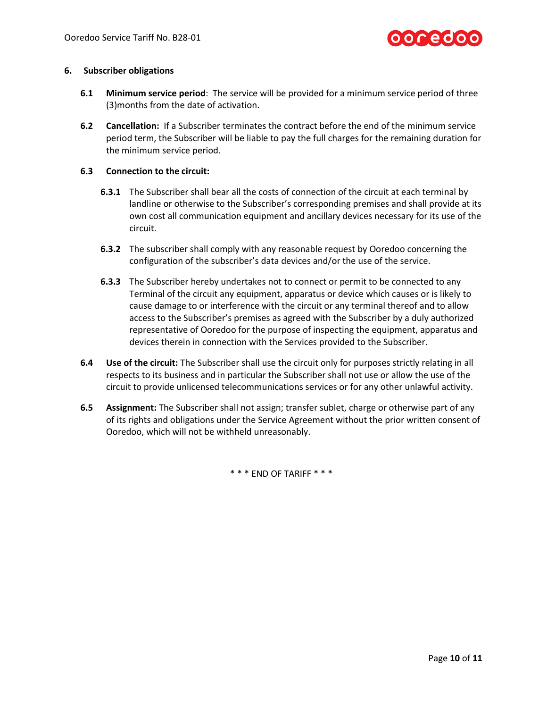

#### **6. Subscriber obligations**

- **6.1 Minimum service period**: The service will be provided for a minimum service period of three (3)months from the date of activation.
- **6.2 Cancellation:** If a Subscriber terminates the contract before the end of the minimum service period term, the Subscriber will be liable to pay the full charges for the remaining duration for the minimum service period.

## **6.3 Connection to the circuit:**

- **6.3.1** The Subscriber shall bear all the costs of connection of the circuit at each terminal by landline or otherwise to the Subscriber's corresponding premises and shall provide at its own cost all communication equipment and ancillary devices necessary for its use of the circuit.
- **6.3.2** The subscriber shall comply with any reasonable request by Ooredoo concerning the configuration of the subscriber's data devices and/or the use of the service.
- **6.3.3** The Subscriber hereby undertakes not to connect or permit to be connected to any Terminal of the circuit any equipment, apparatus or device which causes or is likely to cause damage to or interference with the circuit or any terminal thereof and to allow access to the Subscriber's premises as agreed with the Subscriber by a duly authorized representative of Ooredoo for the purpose of inspecting the equipment, apparatus and devices therein in connection with the Services provided to the Subscriber.
- **6.4 Use of the circuit:** The Subscriber shall use the circuit only for purposes strictly relating in all respects to its business and in particular the Subscriber shall not use or allow the use of the circuit to provide unlicensed telecommunications services or for any other unlawful activity.
- **6.5 Assignment:** The Subscriber shall not assign; transfer sublet, charge or otherwise part of any of its rights and obligations under the Service Agreement without the prior written consent of Ooredoo, which will not be withheld unreasonably.

\* \* \* END OF TARIFF \* \* \*